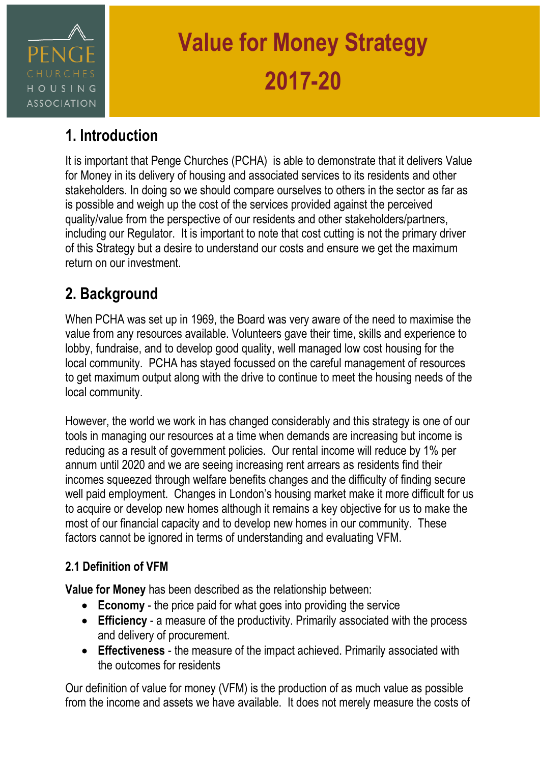

# **1. Introduction**

It is important that Penge Churches (PCHA) is able to demonstrate that it delivers Value for Money in its delivery of housing and associated services to its residents and other stakeholders. In doing so we should compare ourselves to others in the sector as far as is possible and weigh up the cost of the services provided against the perceived quality/value from the perspective of our residents and other stakeholders/partners, including our Regulator. It is important to note that cost cutting is not the primary driver of this Strategy but a desire to understand our costs and ensure we get the maximum return on our investment.

# **2. Background**

When PCHA was set up in 1969, the Board was very aware of the need to maximise the value from any resources available. Volunteers gave their time, skills and experience to lobby, fundraise, and to develop good quality, well managed low cost housing for the local community. PCHA has stayed focussed on the careful management of resources to get maximum output along with the drive to continue to meet the housing needs of the local community.

However, the world we work in has changed considerably and this strategy is one of our tools in managing our resources at a time when demands are increasing but income is reducing as a result of government policies. Our rental income will reduce by 1% per annum until 2020 and we are seeing increasing rent arrears as residents find their incomes squeezed through welfare benefits changes and the difficulty of finding secure well paid employment. Changes in London's housing market make it more difficult for us to acquire or develop new homes although it remains a key objective for us to make the most of our financial capacity and to develop new homes in our community. These factors cannot be ignored in terms of understanding and evaluating VFM.

### **2.1 Definition of VFM**

**Value for Money** has been described as the relationship between:

- **Economy**  the price paid for what goes into providing the service
- **Efficiency**  a measure of the productivity. Primarily associated with the process and delivery of procurement.
- **Effectiveness**  the measure of the impact achieved. Primarily associated with the outcomes for residents

Our definition of value for money (VFM) is the production of as much value as possible from the income and assets we have available. It does not merely measure the costs of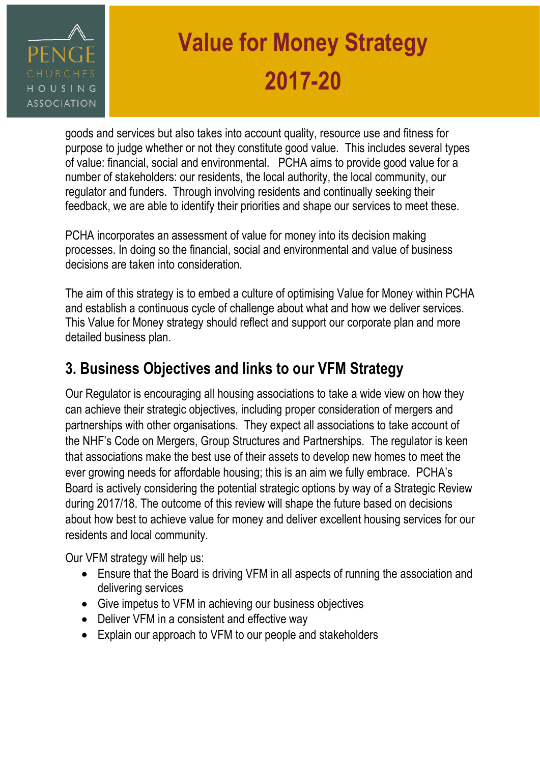

goods and services but also takes into account quality, resource use and fitness for purpose to judge whether or not they constitute good value. This includes several types of value: financial, social and environmental. PCHA aims to provide good value for a number of stakeholders: our residents, the local authority, the local community, our regulator and funders. Through involving residents and continually seeking their feedback, we are able to identify their priorities and shape our services to meet these.

PCHA incorporates an assessment of value for money into its decision making processes. In doing so the financial, social and environmental and value of business decisions are taken into consideration.

The aim of this strategy is to embed a culture of optimising Value for Money within PCHA and establish a continuous cycle of challenge about what and how we deliver services. This Value for Money strategy should reflect and support our corporate plan and more detailed business plan.

# **3. Business Objectives and links to our VFM Strategy**

Our Regulator is encouraging all housing associations to take a wide view on how they can achieve their strategic objectives, including proper consideration of mergers and partnerships with other organisations. They expect all associations to take account of the NHF's Code on Mergers, Group Structures and Partnerships. The regulator is keen that associations make the best use of their assets to develop new homes to meet the ever growing needs for affordable housing; this is an aim we fully embrace. PCHA's Board is actively considering the potential strategic options by way of a Strategic Review during 2017/18. The outcome of this review will shape the future based on decisions about how best to achieve value for money and deliver excellent housing services for our residents and local community.

Our VFM strategy will help us:

- Ensure that the Board is driving VFM in all aspects of running the association and delivering services
- Give impetus to VFM in achieving our business objectives
- Deliver VFM in a consistent and effective way
- Explain our approach to VFM to our people and stakeholders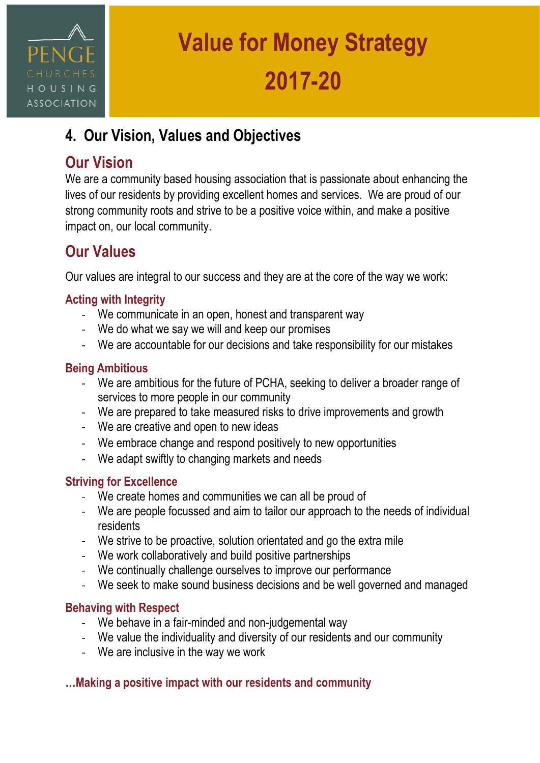

# **4. Our Vision, Values and Objectives**

### **Our Vision**

We are a community based housing association that is passionate about enhancing the lives of our residents by providing excellent homes and services. We are proud of our strong community roots and strive to be a positive voice within, and make a positive impact on, our local community.

## **Our Values**

Our values are integral to our success and they are at the core of the way we work:

### **Acting with Integrity**

- We communicate in an open, honest and transparent way
- We do what we say we will and keep our promises
- We are accountable for our decisions and take responsibility for our mistakes

### **Being Ambitious**

- We are ambitious for the future of PCHA, seeking to deliver a broader range of services to more people in our community
- We are prepared to take measured risks to drive improvements and growth
- We are creative and open to new ideas
- We embrace change and respond positively to new opportunities
- We adapt swiftly to changing markets and needs

### **Striving for Excellence**

- We create homes and communities we can all be proud of
- We are people focussed and aim to tailor our approach to the needs of individual residents
- We strive to be proactive, solution orientated and go the extra mile
- We work collaboratively and build positive partnerships
- We continually challenge ourselves to improve our performance
- We seek to make sound business decisions and be well governed and managed

### **Behaving with Respect**

- We behave in a fair-minded and non-judgemental way
- We value the individuality and diversity of our residents and our community
- We are inclusive in the way we work

### **…Making a positive impact with our residents and community**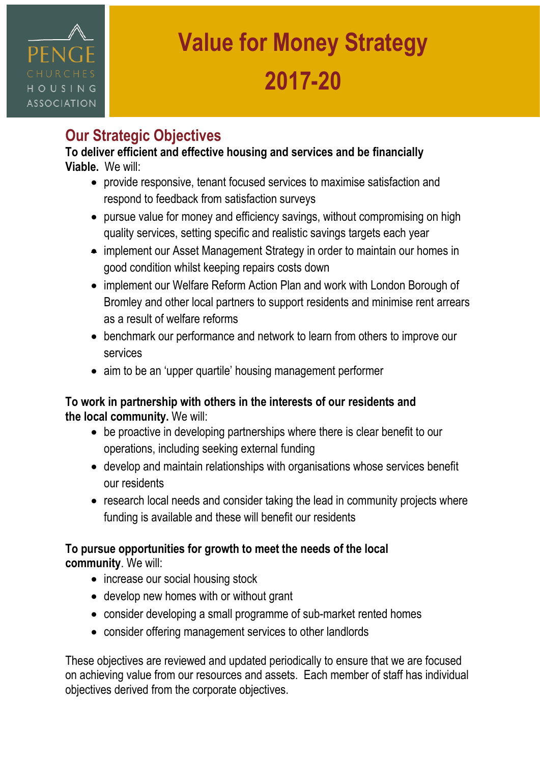# HOUSING **ASSOCIATION**

# **Value for Money Strategy 2017-20**

# **Our Strategic Objectives**

#### **To deliver efficient and effective housing and services and be financially Viable.** We will:

- provide responsive, tenant focused services to maximise satisfaction and respond to feedback from satisfaction surveys
- pursue value for money and efficiency savings, without compromising on high quality services, setting specific and realistic savings targets each year
- implement our Asset Management Strategy in order to maintain our homes in good condition whilst keeping repairs costs down
- implement our Welfare Reform Action Plan and work with London Borough of Bromley and other local partners to support residents and minimise rent arrears as a result of welfare reforms
- benchmark our performance and network to learn from others to improve our services
- aim to be an 'upper quartile' housing management performer

### **To work in partnership with others in the interests of our residents and the local community.** We will:

- be proactive in developing partnerships where there is clear benefit to our operations, including seeking external funding
- develop and maintain relationships with organisations whose services benefit our residents
- research local needs and consider taking the lead in community projects where funding is available and these will benefit our residents

### **To pursue opportunities for growth to meet the needs of the local**

**community**. We will:

- increase our social housing stock
- develop new homes with or without grant
- consider developing a small programme of sub-market rented homes
- consider offering management services to other landlords

These objectives are reviewed and updated periodically to ensure that we are focused on achieving value from our resources and assets. Each member of staff has individual objectives derived from the corporate objectives.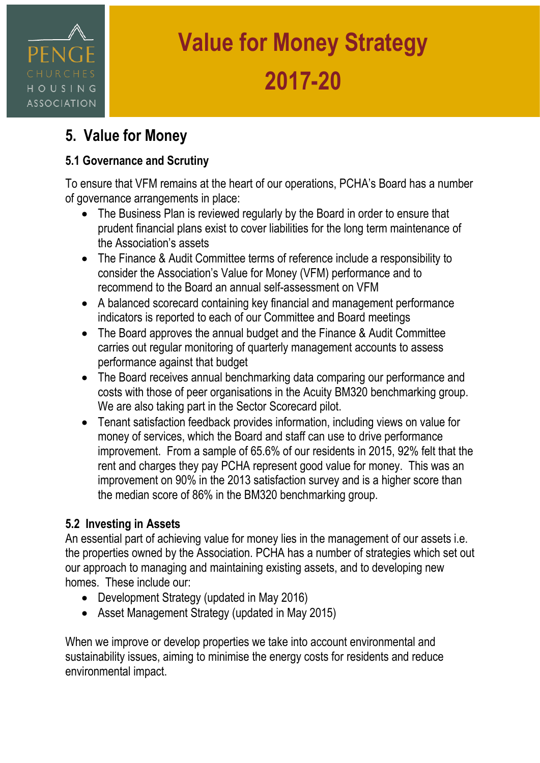# HOUSING **ASSOCIATION**

# **Value for Money Strategy 2017-20**

## **5. Value for Money**

### **5.1 Governance and Scrutiny**

To ensure that VFM remains at the heart of our operations, PCHA's Board has a number of governance arrangements in place:

- The Business Plan is reviewed regularly by the Board in order to ensure that prudent financial plans exist to cover liabilities for the long term maintenance of the Association's assets
- The Finance & Audit Committee terms of reference include a responsibility to consider the Association's Value for Money (VFM) performance and to recommend to the Board an annual self-assessment on VFM
- A balanced scorecard containing key financial and management performance indicators is reported to each of our Committee and Board meetings
- The Board approves the annual budget and the Finance & Audit Committee carries out regular monitoring of quarterly management accounts to assess performance against that budget
- The Board receives annual benchmarking data comparing our performance and costs with those of peer organisations in the Acuity BM320 benchmarking group. We are also taking part in the Sector Scorecard pilot.
- Tenant satisfaction feedback provides information, including views on value for money of services, which the Board and staff can use to drive performance improvement. From a sample of 65.6% of our residents in 2015, 92% felt that the rent and charges they pay PCHA represent good value for money. This was an improvement on 90% in the 2013 satisfaction survey and is a higher score than the median score of 86% in the BM320 benchmarking group.

### **5.2 Investing in Assets**

An essential part of achieving value for money lies in the management of our assets i.e. the properties owned by the Association. PCHA has a number of strategies which set out our approach to managing and maintaining existing assets, and to developing new homes. These include our:

- Development Strategy (updated in May 2016)
- Asset Management Strategy (updated in May 2015)

When we improve or develop properties we take into account environmental and sustainability issues, aiming to minimise the energy costs for residents and reduce environmental impact.